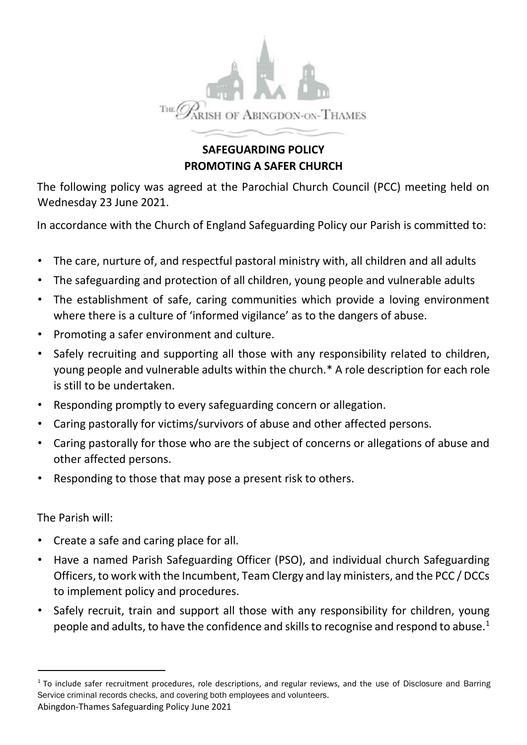

## **SAFEGUARDING POLICY PROMOTING A SAFER CHURCH**

The following policy was agreed at the Parochial Church Council (PCC) meeting held on Wednesday 23 June 2021.

In accordance with the Church of England Safeguarding Policy our Parish is committed to:

- The care, nurture of, and respectful pastoral ministry with, all children and all adults
- The safeguarding and protection of all children, young people and vulnerable adults
- The establishment of safe, caring communities which provide a loving environment where there is a culture of 'informed vigilance' as to the dangers of abuse.
- Promoting a safer environment and culture.
- Safely recruiting and supporting all those with any responsibility related to children, young people and vulnerable adults within the church.\* A role description for each role is still to be undertaken.
- Responding promptly to every safeguarding concern or allegation.
- Caring pastorally for victims/survivors of abuse and other affected persons.
- Caring pastorally for those who are the subject of concerns or allegations of abuse and other affected persons.
- Responding to those that may pose a present risk to others.

The Parish will:

- Create a safe and caring place for all.
- Have a named Parish Safeguarding Officer (PSO), and individual church Safeguarding Officers, to work with the Incumbent, Team Clergy and lay ministers, and the PCC / DCCs to implement policy and procedures.
- Safely recruit, train and support all those with any responsibility for children, young people and adults, to have the confidence and skills to recognise and respond to abuse.<sup>1</sup>

Abingdon-Thames Safeguarding Policy June 2021 <sup>1</sup> To include safer recruitment procedures, role descriptions, and regular reviews, and the use of Disclosure and Barring Service criminal records checks, and covering both employees and volunteers.